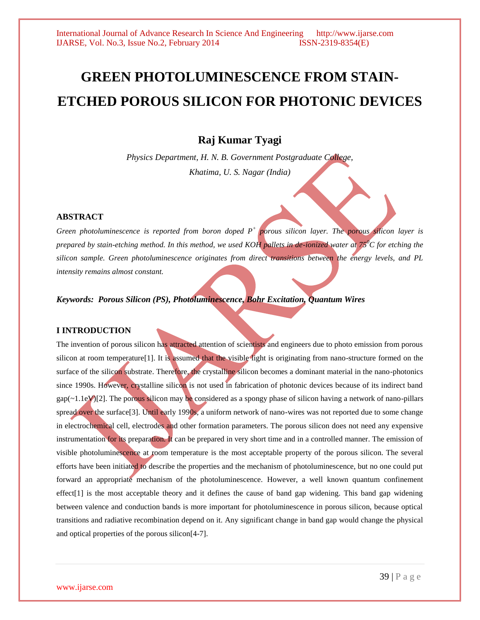# **GREEN PHOTOLUMINESCENCE FROM STAIN-ETCHED POROUS SILICON FOR PHOTONIC DEVICES**

# **Raj Kumar Tyagi**

*Physics Department, H. N. B. Government Postgraduate College, Khatima, U. S. Nagar (India)*

### **ABSTRACT**

*Green photoluminescence is reported from boron doped P<sup>+</sup> porous silicon layer. The porous silicon layer is prepared by stain-etching method. In this method, we used KOH pallets in de-ionized water at 75<sup>0</sup>C for etching the silicon sample. Green photoluminescence originates from direct transitions between the energy levels, and PL intensity remains almost constant.*

## *Keywords: Porous Silicon (PS), Photoluminescence, Bohr Excitation, Quantum Wires*

#### **I INTRODUCTION**

The invention of porous silicon has attracted attention of scientists and engineers due to photo emission from porous silicon at room temperature<sup>[1]</sup>. It is assumed that the visible light is originating from nano-structure formed on the surface of the silicon substrate. Therefore, the crystalline silicon becomes a dominant material in the nano-photonics since 1990s. However, crystalline silicon is not used in fabrication of photonic devices because of its indirect band  $gap(-1.1eV)[2]$ . The porous silicon may be considered as a spongy phase of silicon having a network of nano-pillars spread over the surface<sup>[3]</sup>. Until early 1990s, a uniform network of nano-wires was not reported due to some change in electrochemical cell, electrodes and other formation parameters. The porous silicon does not need any expensive instrumentation for its preparation. It can be prepared in very short time and in a controlled manner. The emission of visible photoluminescence at room temperature is the most acceptable property of the porous silicon. The several efforts have been initiated to describe the properties and the mechanism of photoluminescence, but no one could put forward an appropriate mechanism of the photoluminescence. However, a well known quantum confinement effect[1] is the most acceptable theory and it defines the cause of band gap widening. This band gap widening between valence and conduction bands is more important for photoluminescence in porous silicon, because optical transitions and radiative recombination depend on it. Any significant change in band gap would change the physical and optical properties of the porous silicon[4-7].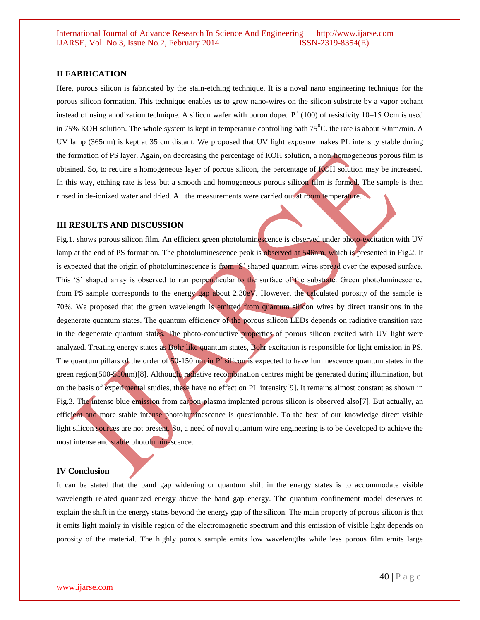International Journal of Advance Research In Science And Engineering http://www.ijarse.com IJARSE, Vol. No.3, Issue No.2, February 2014 ISSN-2319-8354(E)

#### **II FABRICATION**

Here, porous silicon is fabricated by the stain-etching technique. It is a noval nano engineering technique for the porous silicon formation. This technique enables us to grow nano-wires on the silicon substrate by a vapor etchant instead of using anodization technique. A silicon wafer with boron doped  $P^+(100)$  of resistivity 10–15 Ωcm is used in 75% KOH solution. The whole system is kept in temperature controlling bath  $75^{\circ}$ C. the rate is about 50nm/min. A UV lamp (365nm) is kept at 35 cm distant. We proposed that UV light exposure makes PL intensity stable during the formation of PS layer. Again, on decreasing the percentage of KOH solution, a non-homogeneous porous film is obtained. So, to require a homogeneous layer of porous silicon, the percentage of KOH solution may be increased. In this way, etching rate is less but a smooth and homogeneous porous silicon film is formed. The sample is then rinsed in de-ionized water and dried. All the measurements were carried out at room temperature.

#### **III RESULTS AND DISCUSSION**

Fig.1. shows porous silicon film. An efficient green photoluminescence is observed under photo-excitation with UV lamp at the end of PS formation. The photoluminescence peak is observed at 546nm, which is presented in Fig.2. It is expected that the origin of photoluminescence is from 'S' shaped quantum wires spread over the exposed surface. This 'S' shaped array is observed to run perpendicular to the surface of the substrate. Green photoluminescence from PS sample corresponds to the energy gap about 2.30eV. However, the calculated porosity of the sample is 70%. We proposed that the green wavelength is emitted from quantum silicon wires by direct transitions in the degenerate quantum states. The quantum efficiency of the porous silicon LEDs depends on radiative transition rate in the degenerate quantum states. The photo-conductive properties of porous silicon excited with UV light were analyzed. Treating energy states as Bohr like quantum states, Bohr excitation is responsible for light emission in PS. The quantum pillars of the order of  $50-150$  nm in P<sup>+</sup>silicon is expected to have luminescence quantum states in the green region(500-550nm)[8]. Although, radiative recombination centres might be generated during illumination, but on the basis of experimental studies, these have no effect on PL intensity[9]. It remains almost constant as shown in Fig.3. The intense blue emission from carbon-plasma implanted porous silicon is observed also[7]. But actually, an efficient and more stable intense photoluminescence is questionable. To the best of our knowledge direct visible light silicon sources are not present. So, a need of noval quantum wire engineering is to be developed to achieve the most intense and stable photoluminescence.

#### **IV Conclusion**

It can be stated that the band gap widening or quantum shift in the energy states is to accommodate visible wavelength related quantized energy above the band gap energy. The quantum confinement model deserves to explain the shift in the energy states beyond the energy gap of the silicon. The main property of porous silicon is that it emits light mainly in visible region of the electromagnetic spectrum and this emission of visible light depends on porosity of the material. The highly porous sample emits low wavelengths while less porous film emits large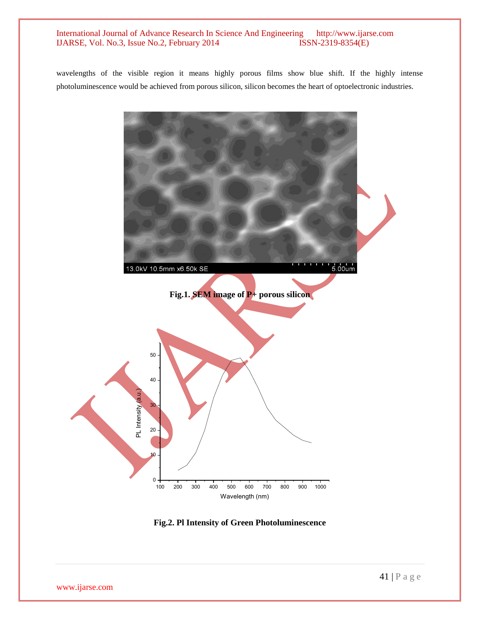## International Journal of Advance Research In Science And Engineering http://www.ijarse.com IJARSE, Vol. No.3, Issue No.2, February 2014 ISSN-2319-8354(E)

wavelengths of the visible region it means highly porous films show blue shift. If the highly intense photoluminescence would be achieved from porous silicon, silicon becomes the heart of optoelectronic industries.



**Fig.2. Pl Intensity of Green Photoluminescence**